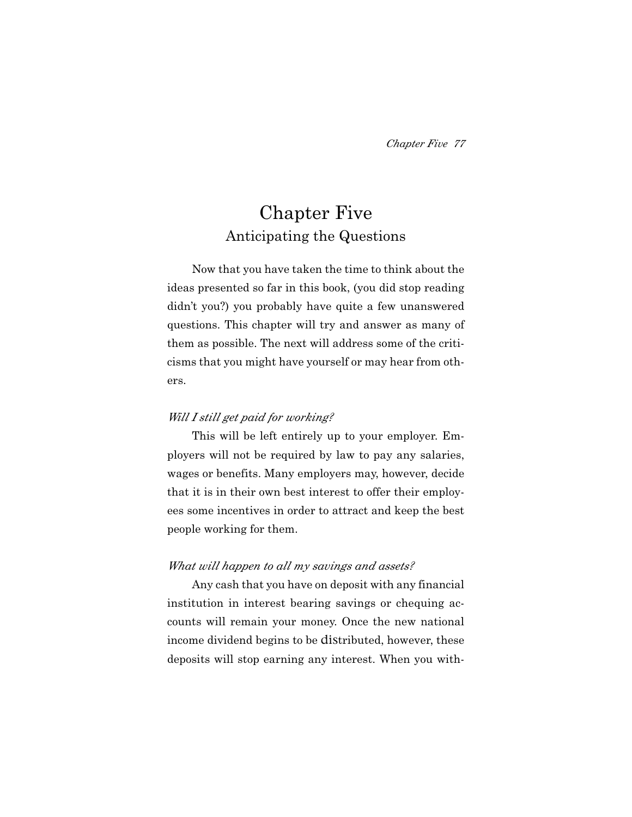# Chapter Five Anticipating the Questions

Now that you have taken the time to think about the ideas presented so far in this book, (you did stop reading didn't you?) you probably have quite a few unanswered questions. This chapter will try and answer as many of them as possible. The next will address some of the criticisms that you might have yourself or may hear from others.

### *Will I still get paid for working?*

This will be left entirely up to your employer. Employers will not be required by law to pay any salaries, wages or benefits. Many employers may, however, decide that it is in their own best interest to offer their employees some incentives in order to attract and keep the best people working for them.

### *What will happen to all my savings and assets?*

Any cash that you have on deposit with any financial institution in interest bearing savings or chequing accounts will remain your money. Once the new national income dividend begins to be distributed, however, these deposits will stop earning any interest. When you with-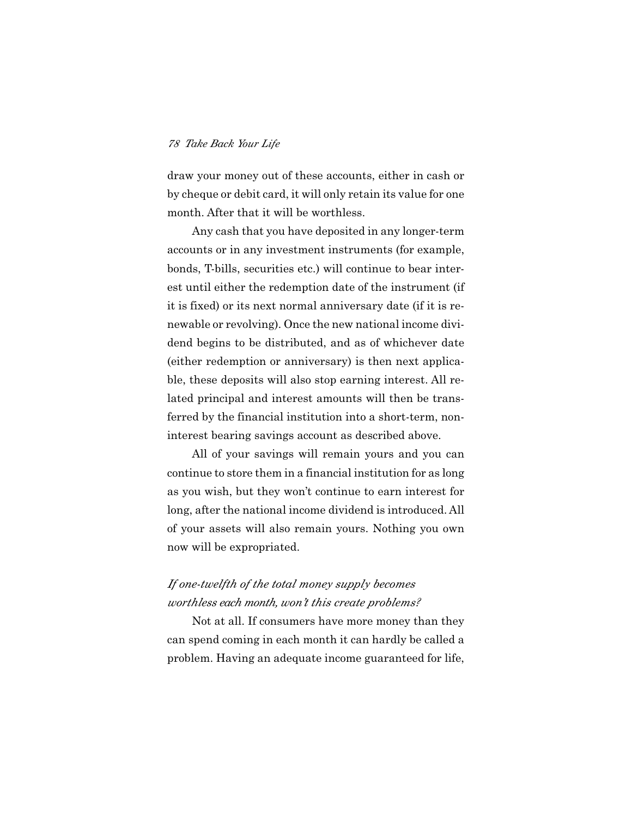draw your money out of these accounts, either in cash or by cheque or debit card, it will only retain its value for one month. After that it will be worthless.

Any cash that you have deposited in any longer-term accounts or in any investment instruments (for example, bonds, T-bills, securities etc.) will continue to bear interest until either the redemption date of the instrument (if it is fixed) or its next normal anniversary date (if it is renewable or revolving). Once the new national income dividend begins to be distributed, and as of whichever date (either redemption or anniversary) is then next applicable, these deposits will also stop earning interest. All related principal and interest amounts will then be transferred by the financial institution into a short-term, noninterest bearing savings account as described above.

All of your savings will remain yours and you can continue to store them in a financial institution for as long as you wish, but they won't continue to earn interest for long, after the national income dividend is introduced. All of your assets will also remain yours. Nothing you own now will be expropriated.

## *If one-twelfth of the total money supply becomes worthless each month, won't this create problems?*

Not at all. If consumers have more money than they can spend coming in each month it can hardly be called a problem. Having an adequate income guaranteed for life,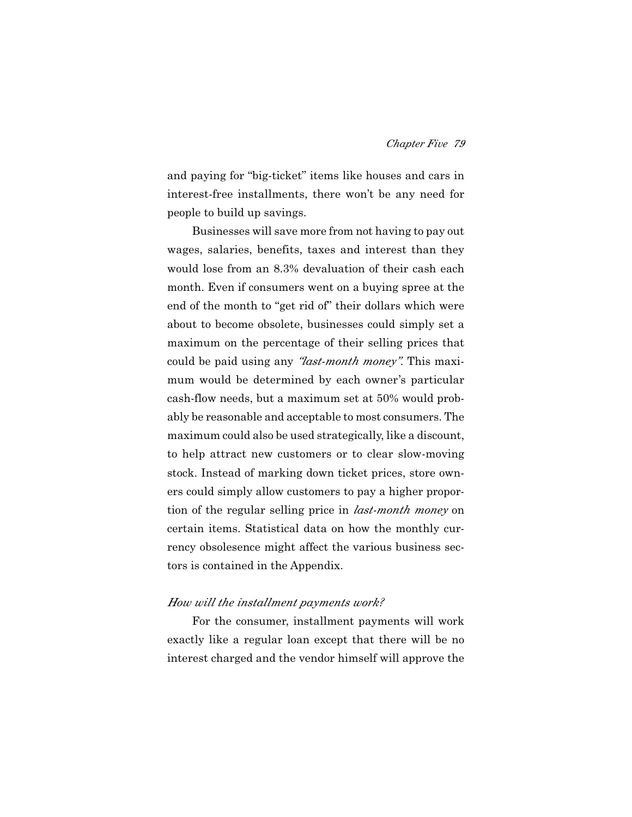and paying for "big-ticket" items like houses and cars in interest-free installments, there won't be any need for people to build up savings.

Businesses will save more from not having to pay out wages, salaries, benefits, taxes and interest than they would lose from an 8.3% devaluation of their cash each month. Even if consumers went on a buying spree at the end of the month to "get rid of" their dollars which were about to become obsolete, businesses could simply set a maximum on the percentage of their selling prices that could be paid using any *"last-month money"*. This maximum would be determined by each owner's particular cash-flow needs, but a maximum set at 50% would probably be reasonable and acceptable to most consumers. The maximum could also be used strategically, like a discount, to help attract new customers or to clear slow-moving stock. Instead of marking down ticket prices, store owners could simply allow customers to pay a higher proportion of the regular selling price in *last-month money* on certain items. Statistical data on how the monthly currency obsolesence might affect the various business sectors is contained in the Appendix.

#### *How will the installment payments work?*

For the consumer, installment payments will work exactly like a regular loan except that there will be no interest charged and the vendor himself will approve the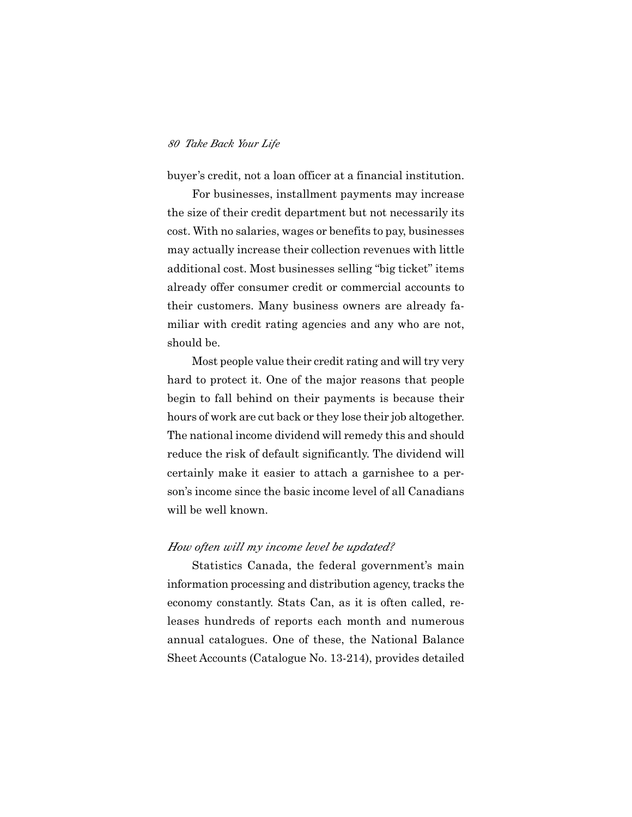buyer's credit, not a loan officer at a financial institution.

For businesses, installment payments may increase the size of their credit department but not necessarily its cost. With no salaries, wages or benefits to pay, businesses may actually increase their collection revenues with little additional cost. Most businesses selling "big ticket" items already offer consumer credit or commercial accounts to their customers. Many business owners are already familiar with credit rating agencies and any who are not, should be.

Most people value their credit rating and will try very hard to protect it. One of the major reasons that people begin to fall behind on their payments is because their hours of work are cut back or they lose their job altogether. The national income dividend will remedy this and should reduce the risk of default significantly. The dividend will certainly make it easier to attach a garnishee to a person's income since the basic income level of all Canadians will be well known.

#### *How often will my income level be updated?*

Statistics Canada, the federal government's main information processing and distribution agency, tracks the economy constantly. Stats Can, as it is often called, releases hundreds of reports each month and numerous annual catalogues. One of these, the National Balance Sheet Accounts (Catalogue No. 13-214), provides detailed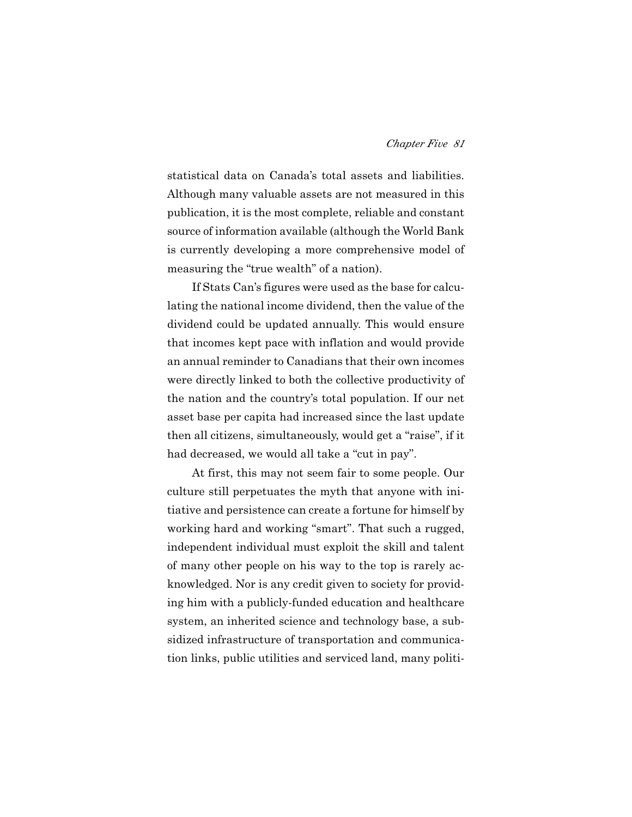statistical data on Canada's total assets and liabilities. Although many valuable assets are not measured in this publication, it is the most complete, reliable and constant source of information available (although the World Bank is currently developing a more comprehensive model of measuring the "true wealth" of a nation).

If Stats Can's figures were used as the base for calculating the national income dividend, then the value of the dividend could be updated annually. This would ensure that incomes kept pace with inflation and would provide an annual reminder to Canadians that their own incomes were directly linked to both the collective productivity of the nation and the country's total population. If our net asset base per capita had increased since the last update then all citizens, simultaneously, would get a "raise", if it had decreased, we would all take a "cut in pay".

At first, this may not seem fair to some people. Our culture still perpetuates the myth that anyone with initiative and persistence can create a fortune for himself by working hard and working "smart". That such a rugged, independent individual must exploit the skill and talent of many other people on his way to the top is rarely acknowledged. Nor is any credit given to society for providing him with a publicly-funded education and healthcare system, an inherited science and technology base, a subsidized infrastructure of transportation and communication links, public utilities and serviced land, many politi-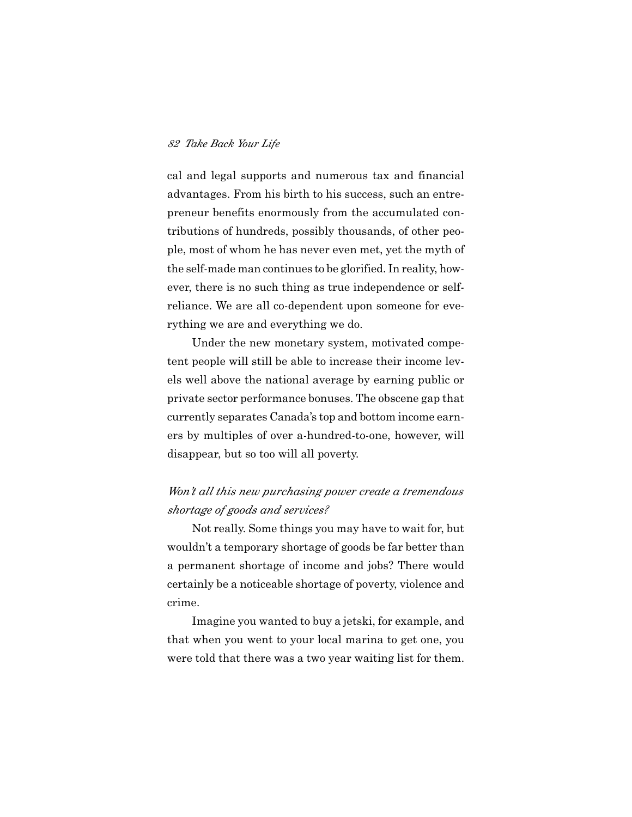cal and legal supports and numerous tax and financial advantages. From his birth to his success, such an entrepreneur benefits enormously from the accumulated contributions of hundreds, possibly thousands, of other people, most of whom he has never even met, yet the myth of the self-made man continues to be glorified. In reality, however, there is no such thing as true independence or selfreliance. We are all co-dependent upon someone for everything we are and everything we do.

Under the new monetary system, motivated competent people will still be able to increase their income levels well above the national average by earning public or private sector performance bonuses. The obscene gap that currently separates Canada's top and bottom income earners by multiples of over a-hundred-to-one, however, will disappear, but so too will all poverty.

### *Won't all this new purchasing power create a tremendous shortage of goods and services?*

Not really. Some things you may have to wait for, but wouldn't a temporary shortage of goods be far better than a permanent shortage of income and jobs? There would certainly be a noticeable shortage of poverty, violence and crime.

Imagine you wanted to buy a jetski, for example, and that when you went to your local marina to get one, you were told that there was a two year waiting list for them.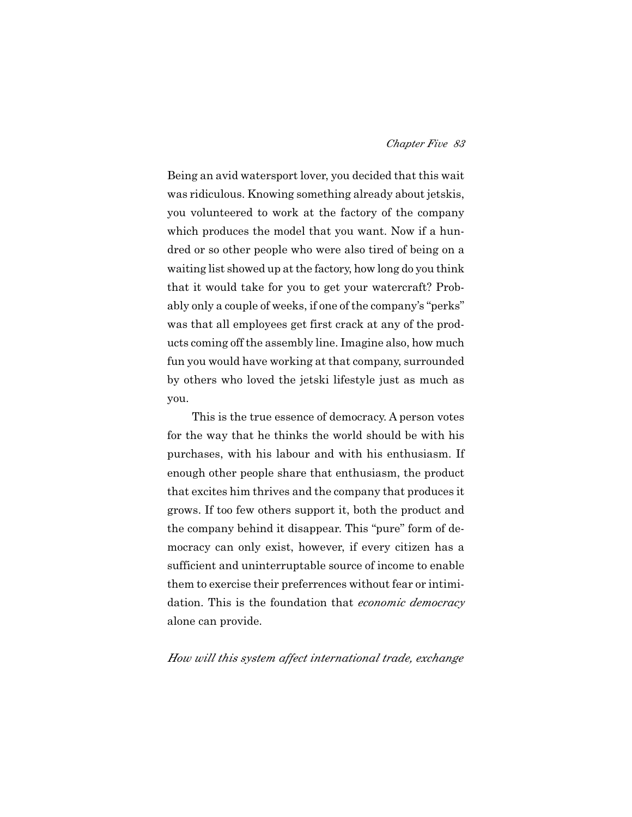Being an avid watersport lover, you decided that this wait was ridiculous. Knowing something already about jetskis, you volunteered to work at the factory of the company which produces the model that you want. Now if a hundred or so other people who were also tired of being on a waiting list showed up at the factory, how long do you think that it would take for you to get your watercraft? Probably only a couple of weeks, if one of the company's "perks" was that all employees get first crack at any of the products coming off the assembly line. Imagine also, how much fun you would have working at that company, surrounded by others who loved the jetski lifestyle just as much as you.

This is the true essence of democracy. A person votes for the way that he thinks the world should be with his purchases, with his labour and with his enthusiasm. If enough other people share that enthusiasm, the product that excites him thrives and the company that produces it grows. If too few others support it, both the product and the company behind it disappear. This "pure" form of democracy can only exist, however, if every citizen has a sufficient and uninterruptable source of income to enable them to exercise their preferrences without fear or intimidation. This is the foundation that *economic democracy* alone can provide.

### *How will this system affect international trade, exchange*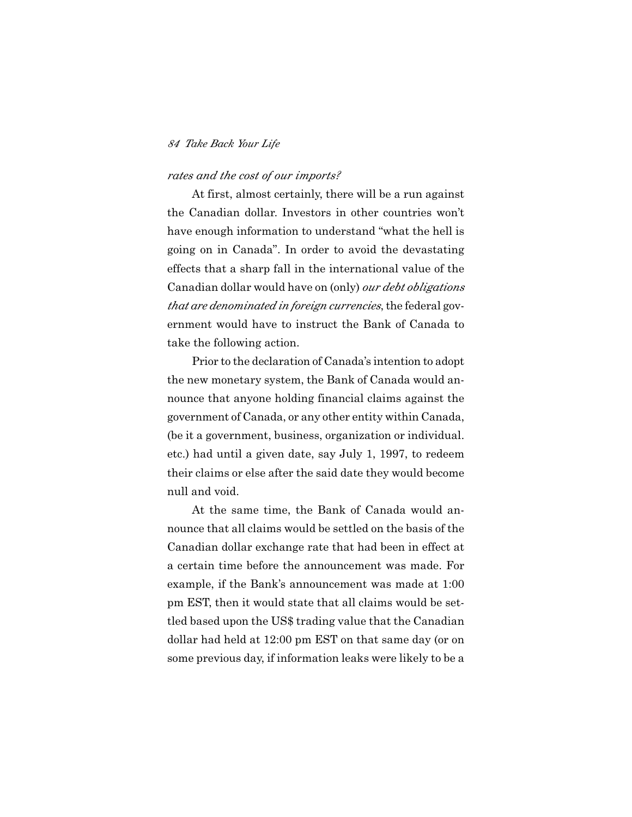### *rates and the cost of our imports?*

At first, almost certainly, there will be a run against the Canadian dollar. Investors in other countries won't have enough information to understand "what the hell is going on in Canada". In order to avoid the devastating effects that a sharp fall in the international value of the Canadian dollar would have on (only) *our debt obligations that are denominated in foreign currencies*, the federal government would have to instruct the Bank of Canada to take the following action.

Prior to the declaration of Canada's intention to adopt the new monetary system, the Bank of Canada would announce that anyone holding financial claims against the government of Canada, or any other entity within Canada, (be it a government, business, organization or individual. etc.) had until a given date, say July 1, 1997, to redeem their claims or else after the said date they would become null and void.

At the same time, the Bank of Canada would announce that all claims would be settled on the basis of the Canadian dollar exchange rate that had been in effect at a certain time before the announcement was made. For example, if the Bank's announcement was made at 1:00 pm EST, then it would state that all claims would be settled based upon the US\$ trading value that the Canadian dollar had held at 12:00 pm EST on that same day (or on some previous day, if information leaks were likely to be a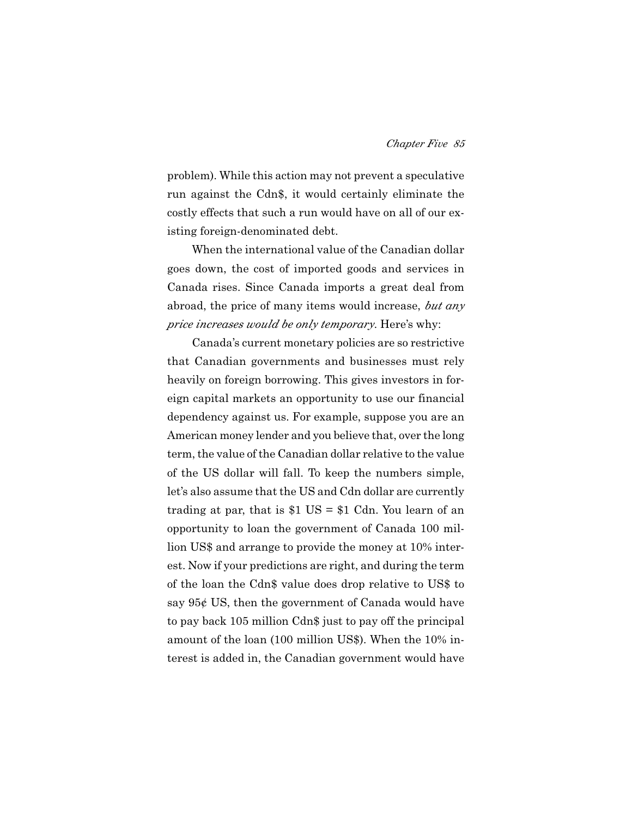problem). While this action may not prevent a speculative run against the Cdn\$, it would certainly eliminate the costly effects that such a run would have on all of our existing foreign-denominated debt.

When the international value of the Canadian dollar goes down, the cost of imported goods and services in Canada rises. Since Canada imports a great deal from abroad, the price of many items would increase, *but any price increases would be only temporary*. Here's why:

Canada's current monetary policies are so restrictive that Canadian governments and businesses must rely heavily on foreign borrowing. This gives investors in foreign capital markets an opportunity to use our financial dependency against us. For example, suppose you are an American money lender and you believe that, over the long term, the value of the Canadian dollar relative to the value of the US dollar will fall. To keep the numbers simple, let's also assume that the US and Cdn dollar are currently trading at par, that is  $$1$  US =  $$1$  Cdn. You learn of an opportunity to loan the government of Canada 100 million US\$ and arrange to provide the money at 10% interest. Now if your predictions are right, and during the term of the loan the Cdn\$ value does drop relative to US\$ to say 95¢ US, then the government of Canada would have to pay back 105 million Cdn\$ just to pay off the principal amount of the loan (100 million US\$). When the 10% interest is added in, the Canadian government would have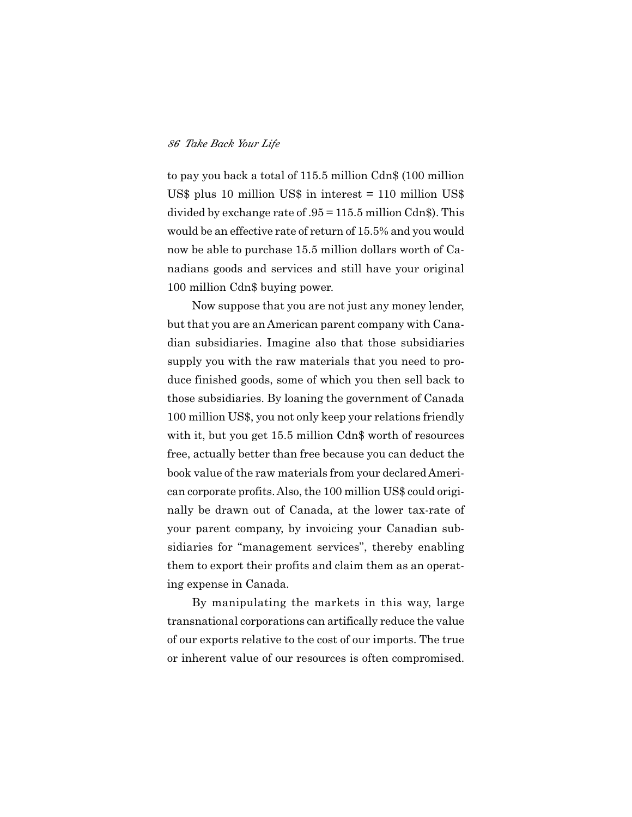to pay you back a total of 115.5 million Cdn\$ (100 million US\$ plus 10 million US\$ in interest = 110 million US\$ divided by exchange rate of .95 = 115.5 million Cdn\$). This would be an effective rate of return of 15.5% and you would now be able to purchase 15.5 million dollars worth of Canadians goods and services and still have your original 100 million Cdn\$ buying power.

Now suppose that you are not just any money lender, but that you are an American parent company with Canadian subsidiaries. Imagine also that those subsidiaries supply you with the raw materials that you need to produce finished goods, some of which you then sell back to those subsidiaries. By loaning the government of Canada 100 million US\$, you not only keep your relations friendly with it, but you get 15.5 million Cdn\$ worth of resources free, actually better than free because you can deduct the book value of the raw materials from your declared American corporate profits. Also, the 100 million US\$ could originally be drawn out of Canada, at the lower tax-rate of your parent company, by invoicing your Canadian subsidiaries for "management services", thereby enabling them to export their profits and claim them as an operating expense in Canada.

By manipulating the markets in this way, large transnational corporations can artifically reduce the value of our exports relative to the cost of our imports. The true or inherent value of our resources is often compromised.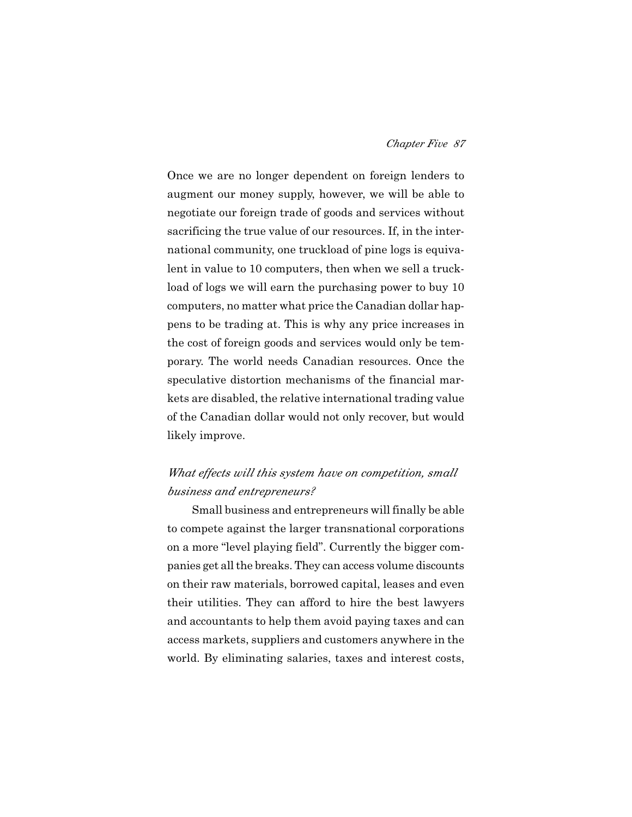Once we are no longer dependent on foreign lenders to augment our money supply, however, we will be able to negotiate our foreign trade of goods and services without sacrificing the true value of our resources. If, in the international community, one truckload of pine logs is equivalent in value to 10 computers, then when we sell a truckload of logs we will earn the purchasing power to buy 10 computers, no matter what price the Canadian dollar happens to be trading at. This is why any price increases in the cost of foreign goods and services would only be temporary. The world needs Canadian resources. Once the speculative distortion mechanisms of the financial markets are disabled, the relative international trading value of the Canadian dollar would not only recover, but would likely improve.

# *What effects will this system have on competition, small business and entrepreneurs?*

Small business and entrepreneurs will finally be able to compete against the larger transnational corporations on a more "level playing field". Currently the bigger companies get all the breaks. They can access volume discounts on their raw materials, borrowed capital, leases and even their utilities. They can afford to hire the best lawyers and accountants to help them avoid paying taxes and can access markets, suppliers and customers anywhere in the world. By eliminating salaries, taxes and interest costs,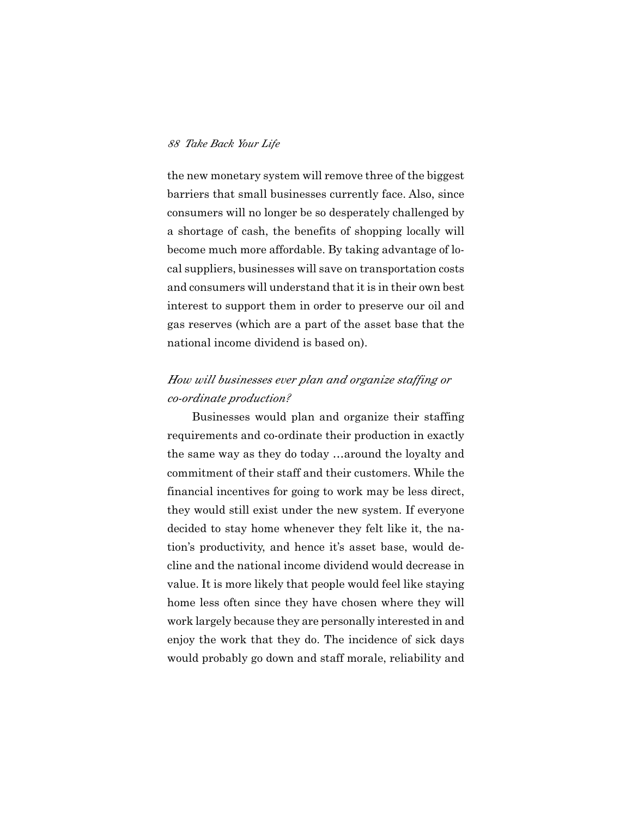the new monetary system will remove three of the biggest barriers that small businesses currently face. Also, since consumers will no longer be so desperately challenged by a shortage of cash, the benefits of shopping locally will become much more affordable. By taking advantage of local suppliers, businesses will save on transportation costs and consumers will understand that it is in their own best interest to support them in order to preserve our oil and gas reserves (which are a part of the asset base that the national income dividend is based on).

# *How will businesses ever plan and organize staffing or co-ordinate production?*

Businesses would plan and organize their staffing requirements and co-ordinate their production in exactly the same way as they do today …around the loyalty and commitment of their staff and their customers. While the financial incentives for going to work may be less direct, they would still exist under the new system. If everyone decided to stay home whenever they felt like it, the nation's productivity, and hence it's asset base, would decline and the national income dividend would decrease in value. It is more likely that people would feel like staying home less often since they have chosen where they will work largely because they are personally interested in and enjoy the work that they do. The incidence of sick days would probably go down and staff morale, reliability and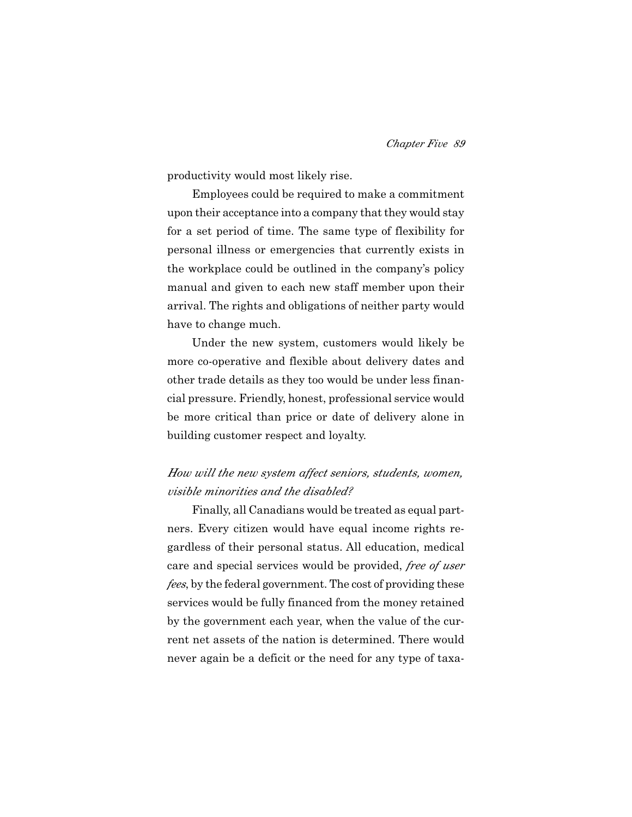productivity would most likely rise.

Employees could be required to make a commitment upon their acceptance into a company that they would stay for a set period of time. The same type of flexibility for personal illness or emergencies that currently exists in the workplace could be outlined in the company's policy manual and given to each new staff member upon their arrival. The rights and obligations of neither party would have to change much.

Under the new system, customers would likely be more co-operative and flexible about delivery dates and other trade details as they too would be under less financial pressure. Friendly, honest, professional service would be more critical than price or date of delivery alone in building customer respect and loyalty.

# *How will the new system affect seniors, students, women, visible minorities and the disabled?*

Finally, all Canadians would be treated as equal partners. Every citizen would have equal income rights regardless of their personal status. All education, medical care and special services would be provided, *free of user fees*, by the federal government. The cost of providing these services would be fully financed from the money retained by the government each year, when the value of the current net assets of the nation is determined. There would never again be a deficit or the need for any type of taxa-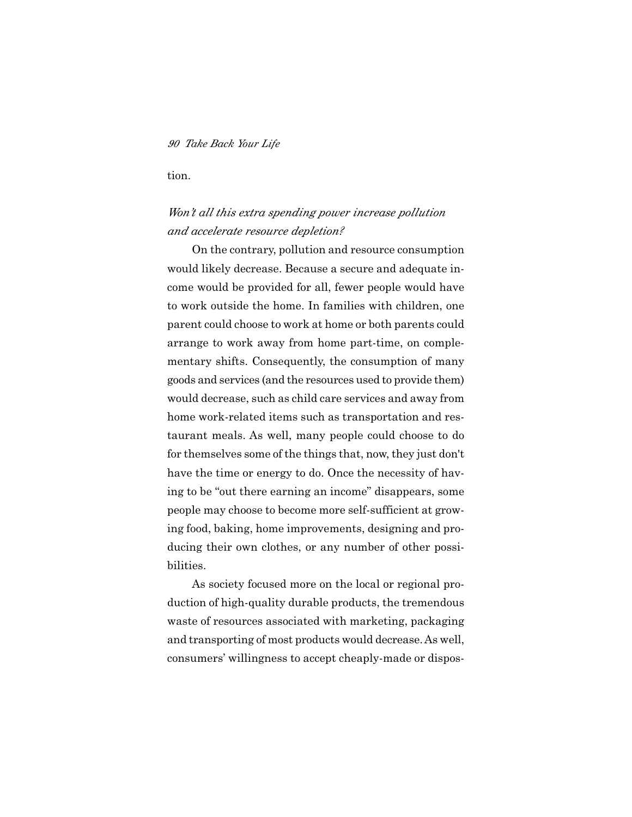tion.

### *Won't all this extra spending power increase pollution and accelerate resource depletion?*

On the contrary, pollution and resource consumption would likely decrease. Because a secure and adequate income would be provided for all, fewer people would have to work outside the home. In families with children, one parent could choose to work at home or both parents could arrange to work away from home part-time, on complementary shifts. Consequently, the consumption of many goods and services (and the resources used to provide them) would decrease, such as child care services and away from home work-related items such as transportation and restaurant meals. As well, many people could choose to do for themselves some of the things that, now, they just don't have the time or energy to do. Once the necessity of having to be "out there earning an income" disappears, some people may choose to become more self-sufficient at growing food, baking, home improvements, designing and producing their own clothes, or any number of other possibilities.

As society focused more on the local or regional production of high-quality durable products, the tremendous waste of resources associated with marketing, packaging and transporting of most products would decrease. As well, consumers' willingness to accept cheaply-made or dispos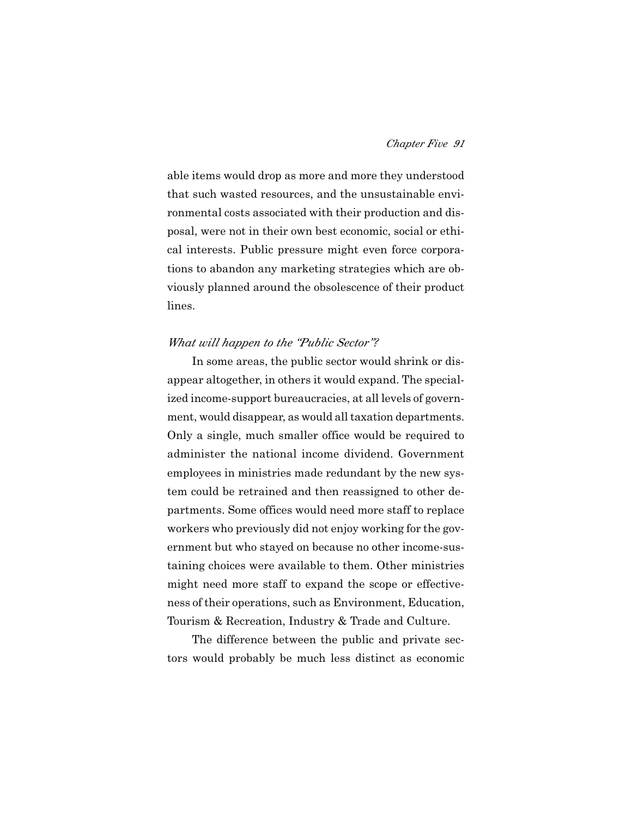able items would drop as more and more they understood that such wasted resources, and the unsustainable environmental costs associated with their production and disposal, were not in their own best economic, social or ethical interests. Public pressure might even force corporations to abandon any marketing strategies which are obviously planned around the obsolescence of their product lines.

### *What will happen to the "Public Sector"?*

In some areas, the public sector would shrink or disappear altogether, in others it would expand. The specialized income-support bureaucracies, at all levels of government, would disappear, as would all taxation departments. Only a single, much smaller office would be required to administer the national income dividend. Government employees in ministries made redundant by the new system could be retrained and then reassigned to other departments. Some offices would need more staff to replace workers who previously did not enjoy working for the government but who stayed on because no other income-sustaining choices were available to them. Other ministries might need more staff to expand the scope or effectiveness of their operations, such as Environment, Education, Tourism & Recreation, Industry & Trade and Culture.

The difference between the public and private sectors would probably be much less distinct as economic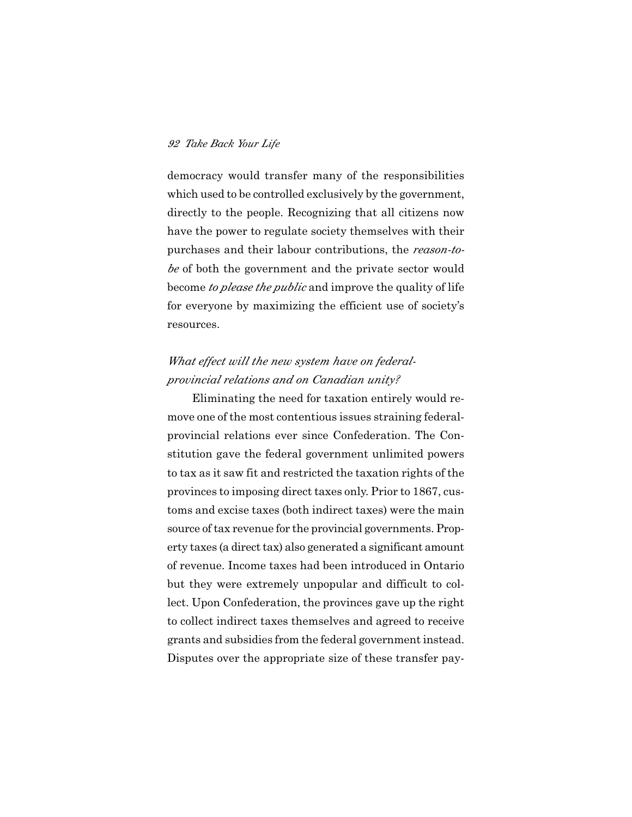democracy would transfer many of the responsibilities which used to be controlled exclusively by the government, directly to the people. Recognizing that all citizens now have the power to regulate society themselves with their purchases and their labour contributions, the *reason-tobe* of both the government and the private sector would become *to please the public* and improve the quality of life for everyone by maximizing the efficient use of society's resources.

## *What effect will the new system have on federalprovincial relations and on Canadian unity?*

Eliminating the need for taxation entirely would remove one of the most contentious issues straining federalprovincial relations ever since Confederation. The Constitution gave the federal government unlimited powers to tax as it saw fit and restricted the taxation rights of the provinces to imposing direct taxes only. Prior to 1867, customs and excise taxes (both indirect taxes) were the main source of tax revenue for the provincial governments. Property taxes (a direct tax) also generated a significant amount of revenue. Income taxes had been introduced in Ontario but they were extremely unpopular and difficult to collect. Upon Confederation, the provinces gave up the right to collect indirect taxes themselves and agreed to receive grants and subsidies from the federal government instead. Disputes over the appropriate size of these transfer pay